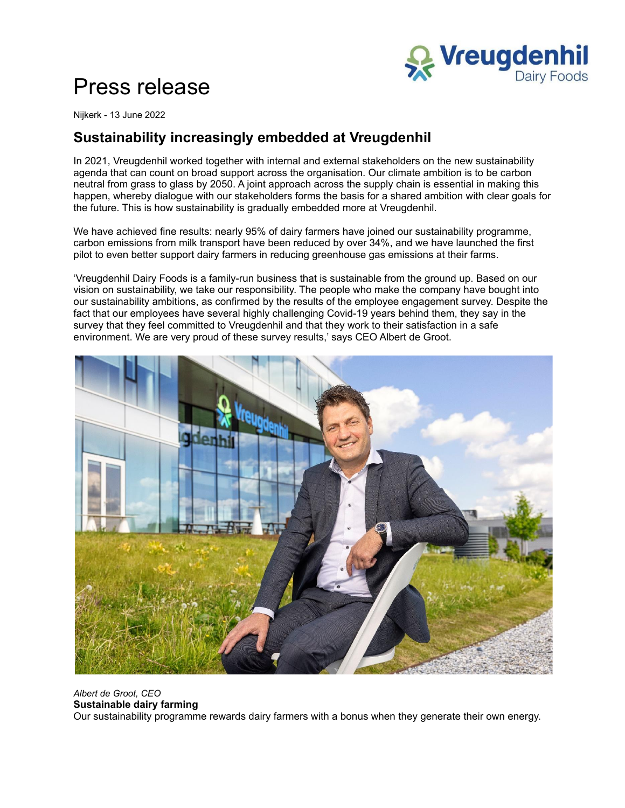

# Press release

Nijkerk - 13 June 2022

## **Sustainability increasingly embedded at Vreugdenhil**

In 2021, Vreugdenhil worked together with internal and external stakeholders on the new sustainability agenda that can count on broad support across the organisation. Our climate ambition is to be carbon neutral from grass to glass by 2050. A joint approach across the supply chain is essential in making this happen, whereby dialogue with our stakeholders forms the basis for a shared ambition with clear goals for the future. This is how sustainability is gradually embedded more at Vreugdenhil.

We have achieved fine results: nearly 95% of dairy farmers have joined our sustainability programme, carbon emissions from milk transport have been reduced by over 34%, and we have launched the first pilot to even better support dairy farmers in reducing greenhouse gas emissions at their farms.

'Vreugdenhil Dairy Foods is a family-run business that is sustainable from the ground up. Based on our vision on sustainability, we take our responsibility. The people who make the company have bought into our sustainability ambitions, as confirmed by the results of the employee engagement survey. Despite the fact that our employees have several highly challenging Covid-19 years behind them, they say in the survey that they feel committed to Vreugdenhil and that they work to their satisfaction in a safe environment. We are very proud of these survey results,' says CEO Albert de Groot.



#### *Albert de Groot, CEO* **Sustainable dairy farming** Our sustainability programme rewards dairy farmers with a bonus when they generate their own energy.